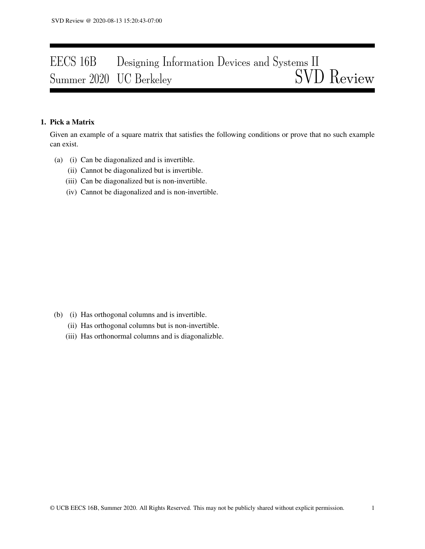# EECS 16B Designing Information Devices and Systems II<br>Summer 2020 UC Berkeley SVD Review Summer 2020 UC Berkeley

## 1. Pick a Matrix

Given an example of a square matrix that satisfies the following conditions or prove that no such example can exist.

- (a) (i) Can be diagonalized and is invertible.
	- (ii) Cannot be diagonalized but is invertible.
	- (iii) Can be diagonalized but is non-invertible.
	- (iv) Cannot be diagonalized and is non-invertible.

- (b) (i) Has orthogonal columns and is invertible.
	- (ii) Has orthogonal columns but is non-invertible.
	- (iii) Has orthonormal columns and is diagonalizble.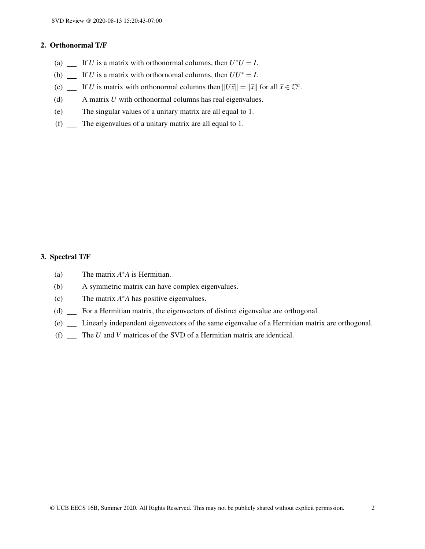### 2. Orthonormal T/F

- (a)  $\quad \text{If } U \text{ is a matrix with orthonormal columns, then } U^*U = I.$
- (b)  $\angle$  If *U* is a matrix with orthornomal columns, then  $UU^* = I$ .
- (c)  $\Box$  If *U* is matrix with orthonormal columns then  $||U\vec{x}|| = ||\vec{x}||$  for all  $\vec{x} \in \mathbb{C}^n$ .
- (d)  $\qquad \qquad$  A matrix *U* with orthonormal columns has real eigenvalues.
- (e) The singular values of a unitary matrix are all equal to 1.
- (f)  $\sum$  The eigenvalues of a unitary matrix are all equal to 1.

## 3. Spectral T/F

- (a)  $\sum$  The matrix  $A^*A$  is Hermitian.
- (b) \_\_ A symmetric matrix can have complex eigenvalues.
- (c)  $\sum$  The matrix  $A^*A$  has positive eigenvalues.
- (d) \_ For a Hermitian matrix, the eigenvectors of distinct eigenvalue are orthogonal.
- (e) Linearly independent eigenvectors of the same eigenvalue of a Hermitian matrix are orthogonal.
- (f) The *U* and *V* matrices of the SVD of a Hermitian matrix are identical.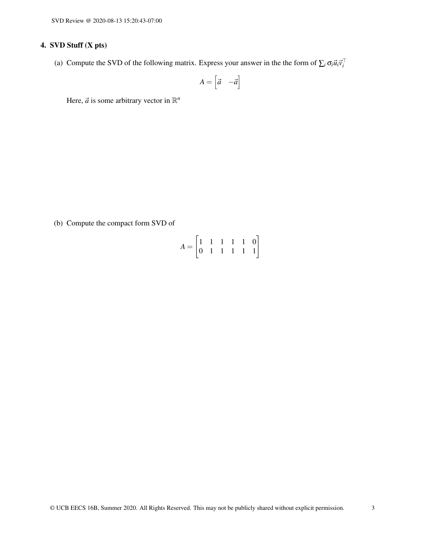# 4. SVD Stuff (X pts)

(a) Compute the SVD of the following matrix. Express your answer in the the form of  $\sum_i \sigma_i \vec{u}_i \vec{v}_i^T$ 

$$
A = \begin{bmatrix} \vec{a} & -\vec{a} \end{bmatrix}
$$

Here,  $\vec{a}$  is some arbitrary vector in  $\mathbb{R}^n$ 

(b) Compute the compact form SVD of

$$
A = \begin{bmatrix} 1 & 1 & 1 & 1 & 1 & 0 \\ 0 & 1 & 1 & 1 & 1 & 1 \end{bmatrix}
$$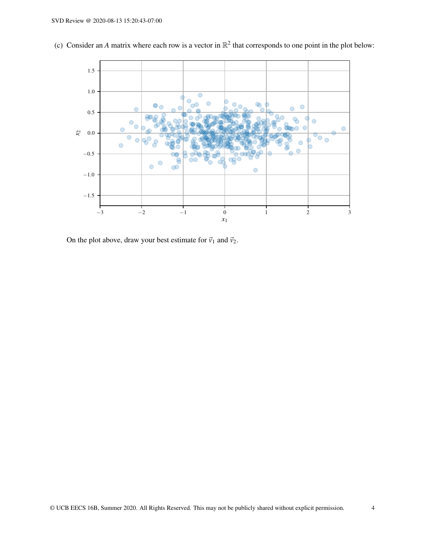

(c) Consider an *A* matrix where each row is a vector in  $\mathbb{R}^2$  that corresponds to one point in the plot below:

On the plot above, draw your best estimate for  $\vec{v}_1$  and  $\vec{v}_2$ .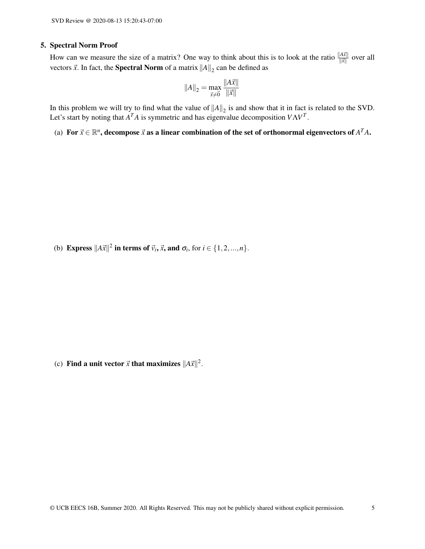#### 5. Spectral Norm Proof

How can we measure the size of a matrix? One way to think about this is to look at the ratio  $\frac{||A\vec{x}||}{\|\vec{x}\|}$  over all vectors  $\vec{x}$ . In fact, the **Spectral Norm** of a matrix  $||A||_2$  can be defined as

$$
||A||_2 = \max_{\vec{x} \neq \vec{0}} \frac{||A\vec{x}||}{||\vec{x}||}
$$

In this problem we will try to find what the value of  $||A||_2$  is and show that it in fact is related to the SVD. Let's start by noting that  $A<sup>T</sup>A$  is symmetric and has eigenvalue decomposition  $V\Lambda V<sup>T</sup>$ .

(a) For  $\vec{x} \in \mathbb{R}^n$ , decompose  $\vec{x}$  as a linear combination of the set of orthonormal eigenvectors of  $A^TA$ .

(b) **Express**  $||A\vec{x}||^2$  in terms of  $\vec{v}_i$ ,  $\vec{x}$ , and  $\sigma_i$ , for  $i \in \{1, 2, ..., n\}$ .

(c) Find a unit vector  $\vec{x}$  that maximizes  $||A\vec{x}||^2$ .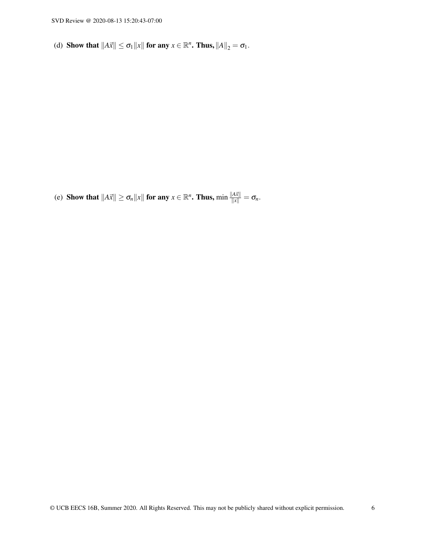(d) Show that  $||A\vec{x}|| \leq \sigma_1 ||x||$  for any  $x \in \mathbb{R}^n$ . Thus,  $||A||_2 = \sigma_1$ .

(e) Show that  $||A\vec{x}|| \ge \sigma_n ||x||$  for any  $x \in \mathbb{R}^n$ . Thus,  $\min \frac{||A\vec{x}||}{||x||} = \sigma_n$ .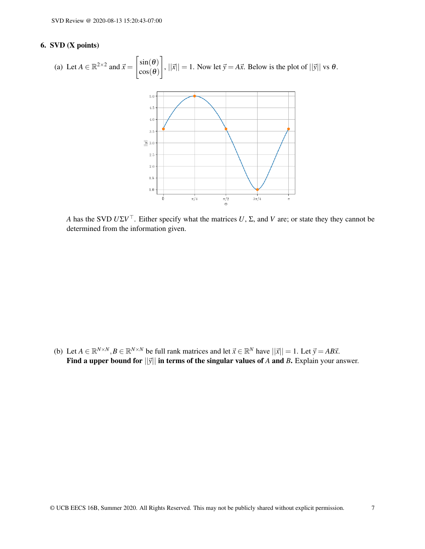## 6. SVD (X points)



*A* has the SVD *U*Σ*V* <sup>&</sup>gt;. Either specify what the matrices *U*, Σ, and *V* are; or state they they cannot be determined from the information given.

(b) Let  $A \in \mathbb{R}^{N \times N}, B \in \mathbb{R}^{N \times N}$  be full rank matrices and let  $\vec{x} \in \mathbb{R}^{N}$  have  $||\vec{x}|| = 1$ . Let  $\vec{y} = AB\vec{x}$ . Find a upper bound for  $||\vec{y}||$  in terms of the singular values of *A* and *B*. Explain your answer.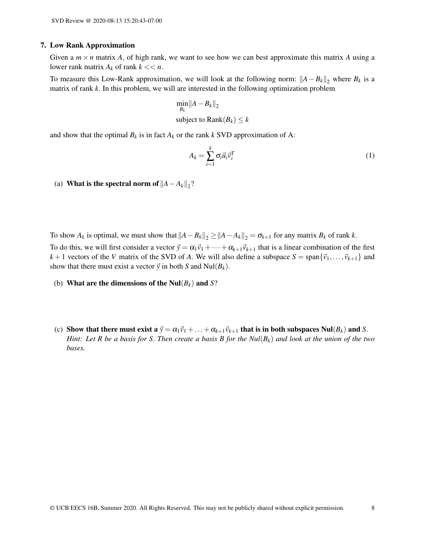#### 7. Low Rank Approximation

Given a  $m \times n$  matrix A, of high rank, we want to see how we can best approximate this matrix A using a lower rank matrix  $A_k$  of rank  $k \ll n$ .

To measure this Low-Rank approximation, we will look at the following norm:  $||A – B_k||_2$  where  $B_k$  is a matrix of rank *k*. In this problem, we will are interested in the following optimization problem

$$
\min_{B_k} \|A - B_k\|_2
$$
  
subject to  $\text{Rank}(B_k) \le k$ 

and show that the optimal  $B_k$  is in fact  $A_k$  or the rank  $k$  SVD approximation of A:

$$
A_k = \sum_{i=1}^k \sigma_i \vec{u}_i \vec{v}_i^T
$$
 (1)

(a) **What is the spectral norm of**  $||A - A_k||_2$ **?** 

To show  $A_k$  is optimal, we must show that  $||A - B_k||_2 \ge ||A - A_k||_2 = \sigma_{k+1}$  for any matrix  $B_k$  of rank  $k$ .

To do this, we will first consider a vector  $\vec{y} = \alpha_1 \vec{v}_1 + \cdots + \alpha_{k+1} \vec{v}_{k+1}$  that is a linear combination of the first  $k+1$  vectors of the *V* matrix of the SVD of *A*. We will also define a subspace  $S = \text{span}\{\vec{v}_1,\ldots,\vec{v}_{k+1}\}$  and show that there must exist a vector  $\vec{y}$  in both *S* and Nul( $B_k$ ).

- (b) What are the dimensions of the Nul(*Bk*) and *S*?
- (c) Show that there must exist a  $\vec{y} = \alpha_1 \vec{v}_1 + \ldots + \alpha_{k+1} \vec{v}_{k+1}$  that is in both subspaces Nul( $B_k$ ) and *S*. *Hint: Let R be a basis for S*. *Then create a basis B for the Nul*(*Bk*) *and look at the union of the two bases.*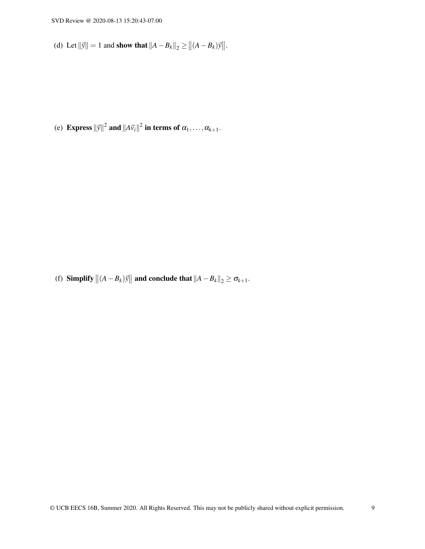(d) Let  $\|\vec{y}\| = 1$  and show that  $\|A - B_k\|_2 \ge \|(A - B_k)\vec{y}\|$ .

(e) **Express**  $\|\vec{y}\|^2$  and  $\|A\vec{v}_i\|^2$  in terms of  $\alpha_1,\ldots,\alpha_{k+1}$ .

(f) Simplify  $||(A - B_k)\vec{y}||$  and conclude that  $||A - B_k||_2 \ge \sigma_{k+1}$ .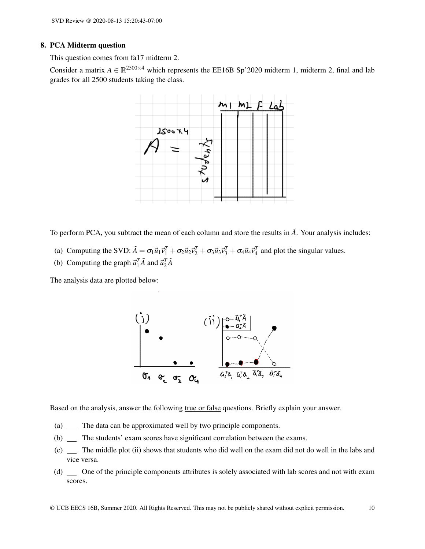#### 8. PCA Midterm question

This question comes from fa17 midterm 2.

Consider a matrix  $A \in \mathbb{R}^{2500 \times 4}$  which represents the EE16B Sp'2020 midterm 1, midterm 2, final and lab grades for all 2500 students taking the class.



To perform PCA, you subtract the mean of each column and store the results in  $\tilde{A}$ . Your analysis includes:

- (a) Computing the SVD:  $\tilde{A} = \sigma_1 \vec{u}_1 \vec{v}_1^T + \sigma_2 \vec{u}_2 \vec{v}_2^T + \sigma_3 \vec{u}_3 \vec{v}_3^T + \sigma_4 \vec{u}_4 \vec{v}_4^T$  and plot the singular values.
- (b) Computing the graph  $\vec{u}_1^T \tilde{A}$  and  $\vec{u}_2^T \tilde{A}$

The analysis data are plotted below:



Based on the analysis, answer the following true or false questions. Briefly explain your answer.

- (a) The data can be approximated well by two principle components.
- (b) The students' exam scores have significant correlation between the exams.
- (c) The middle plot (ii) shows that students who did well on the exam did not do well in the labs and vice versa.
- (d) \_ One of the principle components attributes is solely associated with lab scores and not with exam scores.